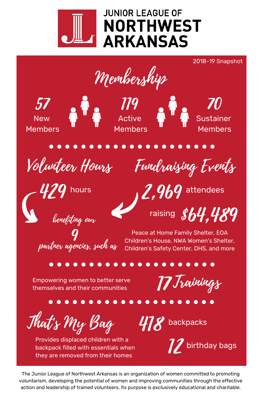

Membership





Active Members

Sustainer Members

2018-19 Snapshot



Volunteer Hours Fundraising Events

hours and  $\boldsymbol{q}$   $\boldsymbol{q}$  attendees

raising  $$b4.489$ 

partner agencies, such as 9

benefiting our

Peace at Home Family Shelter, EOA Children's House, NWA Women's Shelter, Children's Safety Center, DHS, and more

Empowering women to better serve themselves and their communities

17 Trainings

That's My Bag

Provides displaced children with a backpack filled with essentials when they are removed from their homes

 $478$  backpacks



The Junior League of Northwest Arkansas is an organization of women committed to promoting voluntarism, developing the potential of women and improving communities through the effective action and leadership of trained volunteers. Its purpose is exclusively educational and charitable.